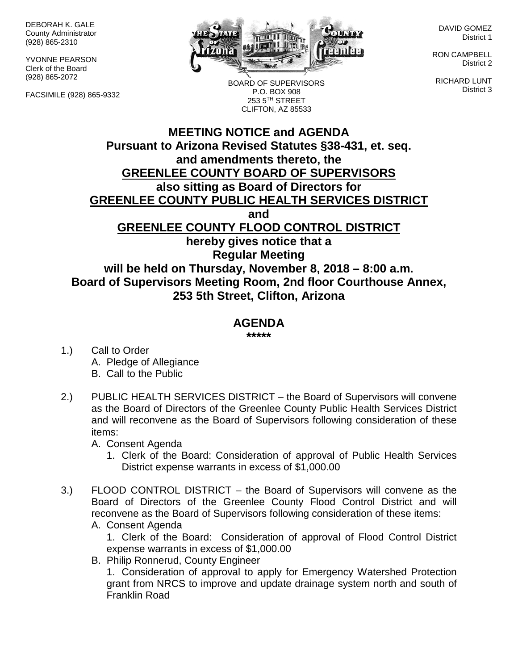DEBORAH K. GALE County Administrator (928) 865-2310

YVONNE PEARSON Clerk of the Board (928) 865-2072

FACSIMILE (928) 865-9332



BOARD OF SUPERVISORS P.O. BOX 908 253 5TH STREET CLIFTON, AZ 85533

DAVID GOMEZ District 1

RON CAMPBELL District 2

RICHARD LUNT District 3

## **MEETING NOTICE and AGENDA Pursuant to Arizona Revised Statutes §38-431, et. seq. and amendments thereto, the GREENLEE COUNTY BOARD OF SUPERVISORS also sitting as Board of Directors for GREENLEE COUNTY PUBLIC HEALTH SERVICES DISTRICT and GREENLEE COUNTY FLOOD CONTROL DISTRICT hereby gives notice that a Regular Meeting will be held on Thursday, November 8, 2018 – 8:00 a.m. Board of Supervisors Meeting Room, 2nd floor Courthouse Annex, 253 5th Street, Clifton, Arizona**

## **AGENDA**

**\*\*\*\*\***

- 1.) Call to Order A. Pledge of Allegiance B. Call to the Public
- 2.) PUBLIC HEALTH SERVICES DISTRICT the Board of Supervisors will convene as the Board of Directors of the Greenlee County Public Health Services District and will reconvene as the Board of Supervisors following consideration of these items:

A. Consent Agenda

- 1. Clerk of the Board: Consideration of approval of Public Health Services District expense warrants in excess of \$1,000.00
- 3.) FLOOD CONTROL DISTRICT the Board of Supervisors will convene as the Board of Directors of the Greenlee County Flood Control District and will reconvene as the Board of Supervisors following consideration of these items:
	- A. Consent Agenda

1. Clerk of the Board: Consideration of approval of Flood Control District expense warrants in excess of \$1,000.00

B. Philip Ronnerud, County Engineer

1. Consideration of approval to apply for Emergency Watershed Protection grant from NRCS to improve and update drainage system north and south of Franklin Road